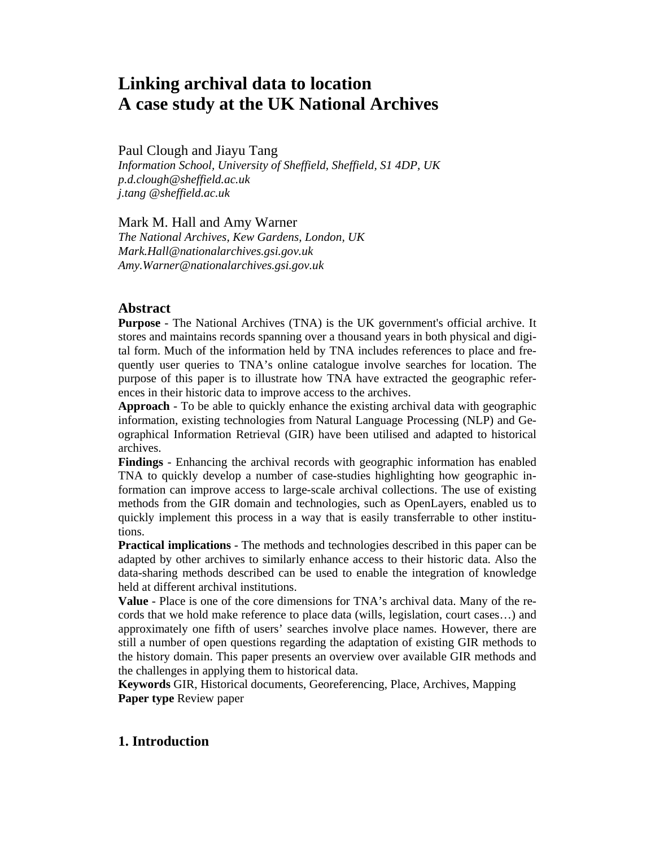# **Linking archival data to location A case study at the UK National Archives**

Paul Clough and Jiayu Tang

*Information School, University of Sheffield, Sheffield, S1 4DP, UK p.d.clough@sheffield.ac.uk j.tang @sheffield.ac.uk* 

Mark M. Hall and Amy Warner

*The National Archives, Kew Gardens, London, UK Mark.Hall@nationalarchives.gsi.gov.uk Amy.Warner@nationalarchives.gsi.gov.uk* 

# **Abstract**

**Purpose** - The National Archives (TNA) is the UK government's official archive. It stores and maintains records spanning over a thousand years in both physical and digital form. Much of the information held by TNA includes references to place and frequently user queries to TNA's online catalogue involve searches for location. The purpose of this paper is to illustrate how TNA have extracted the geographic references in their historic data to improve access to the archives.

**Approach** - To be able to quickly enhance the existing archival data with geographic information, existing technologies from Natural Language Processing (NLP) and Geographical Information Retrieval (GIR) have been utilised and adapted to historical archives.

**Findings** - Enhancing the archival records with geographic information has enabled TNA to quickly develop a number of case-studies highlighting how geographic information can improve access to large-scale archival collections. The use of existing methods from the GIR domain and technologies, such as OpenLayers, enabled us to quickly implement this process in a way that is easily transferrable to other institutions.

**Practical implications** - The methods and technologies described in this paper can be adapted by other archives to similarly enhance access to their historic data. Also the data-sharing methods described can be used to enable the integration of knowledge held at different archival institutions.

**Value** - Place is one of the core dimensions for TNA's archival data. Many of the records that we hold make reference to place data (wills, legislation, court cases…) and approximately one fifth of users' searches involve place names. However, there are still a number of open questions regarding the adaptation of existing GIR methods to the history domain. This paper presents an overview over available GIR methods and the challenges in applying them to historical data.

**Keywords** GIR, Historical documents, Georeferencing, Place, Archives, Mapping **Paper type** Review paper

# **1. Introduction**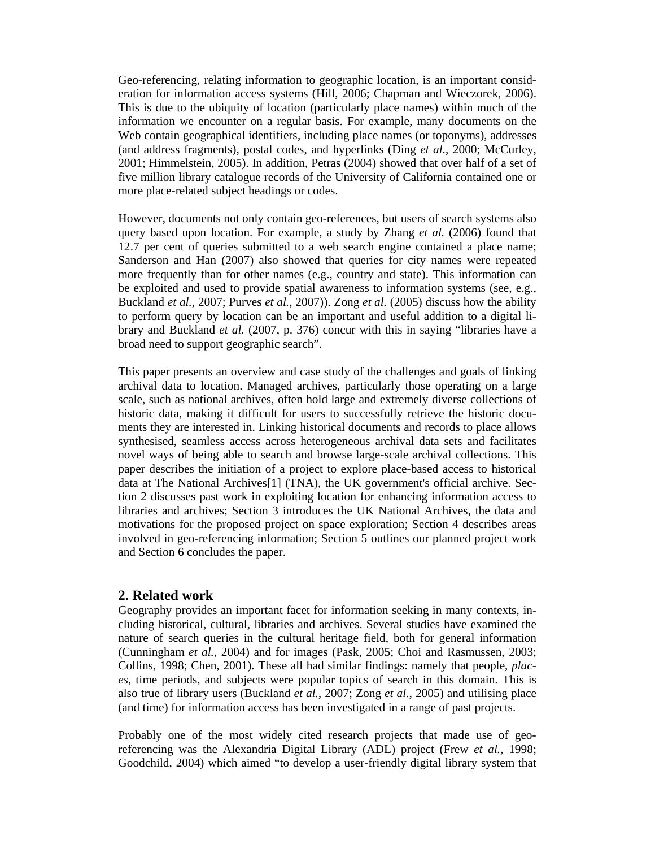Geo-referencing, relating information to geographic location, is an important consideration for information access systems (Hill, 2006; Chapman and Wieczorek, 2006). This is due to the ubiquity of location (particularly place names) within much of the information we encounter on a regular basis. For example, many documents on the Web contain geographical identifiers, including place names (or toponyms), addresses (and address fragments), postal codes, and hyperlinks (Ding *et al*., 2000; McCurley, 2001; Himmelstein, 2005). In addition, Petras (2004) showed that over half of a set of five million library catalogue records of the University of California contained one or more place-related subject headings or codes.

However, documents not only contain geo-references, but users of search systems also query based upon location. For example, a study by Zhang *et al.* (2006) found that 12.7 per cent of queries submitted to a web search engine contained a place name; Sanderson and Han (2007) also showed that queries for city names were repeated more frequently than for other names (e.g., country and state). This information can be exploited and used to provide spatial awareness to information systems (see, e.g., Buckland *et al.*, 2007; Purves *et al.*, 2007)). Zong *et al.* (2005) discuss how the ability to perform query by location can be an important and useful addition to a digital library and Buckland *et al.* (2007, p. 376) concur with this in saying "libraries have a broad need to support geographic search".

This paper presents an overview and case study of the challenges and goals of linking archival data to location. Managed archives, particularly those operating on a large scale, such as national archives, often hold large and extremely diverse collections of historic data, making it difficult for users to successfully retrieve the historic documents they are interested in. Linking historical documents and records to place allows synthesised, seamless access across heterogeneous archival data sets and facilitates novel ways of being able to search and browse large-scale archival collections. This paper describes the initiation of a project to explore place-based access to historical data at The National Archives[1] (TNA), the UK government's official archive. Section 2 discusses past work in exploiting location for enhancing information access to libraries and archives; Section 3 introduces the UK National Archives, the data and motivations for the proposed project on space exploration; Section 4 describes areas involved in geo-referencing information; Section 5 outlines our planned project work and Section 6 concludes the paper.

# **2. Related work**

Geography provides an important facet for information seeking in many contexts, including historical, cultural, libraries and archives. Several studies have examined the nature of search queries in the cultural heritage field, both for general information (Cunningham *et al.*, 2004) and for images (Pask, 2005; Choi and Rasmussen, 2003; Collins, 1998; Chen, 2001). These all had similar findings: namely that people, *places,* time periods, and subjects were popular topics of search in this domain. This is also true of library users (Buckland *et al.*, 2007; Zong *et al.*, 2005) and utilising place (and time) for information access has been investigated in a range of past projects.

Probably one of the most widely cited research projects that made use of georeferencing was the Alexandria Digital Library (ADL) project (Frew *et al.*, 1998; Goodchild, 2004) which aimed "to develop a user-friendly digital library system that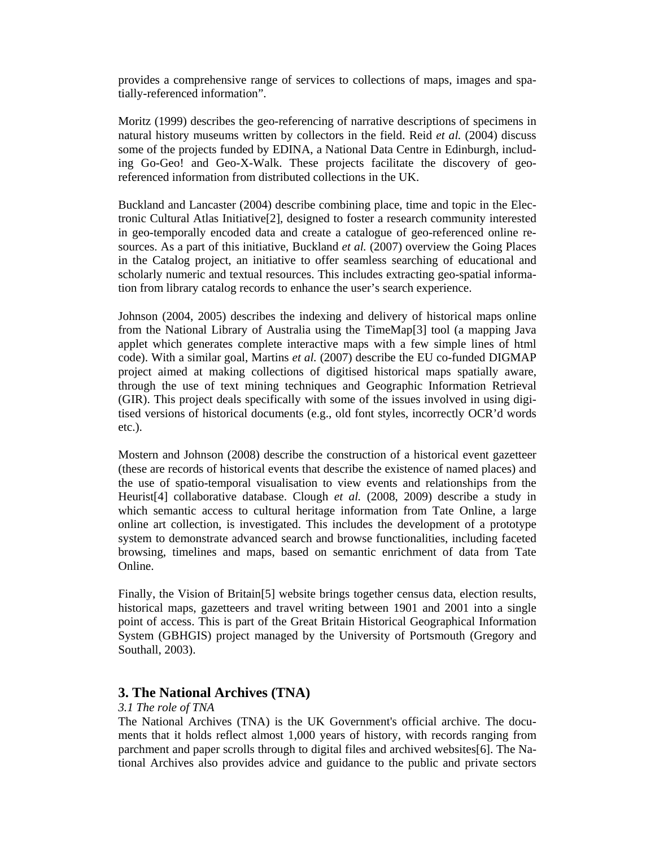provides a comprehensive range of services to collections of maps, images and spatially-referenced information".

Moritz (1999) describes the geo-referencing of narrative descriptions of specimens in natural history museums written by collectors in the field. Reid *et al.* (2004) discuss some of the projects funded by EDINA, a National Data Centre in Edinburgh, including Go-Geo! and Geo-X-Walk. These projects facilitate the discovery of georeferenced information from distributed collections in the UK.

Buckland and Lancaster (2004) describe combining place, time and topic in the Electronic Cultural Atlas Initiative[2], designed to foster a research community interested in geo-temporally encoded data and create a catalogue of geo-referenced online resources. As a part of this initiative, Buckland *et al.* (2007) overview the Going Places in the Catalog project, an initiative to offer seamless searching of educational and scholarly numeric and textual resources. This includes extracting geo-spatial information from library catalog records to enhance the user's search experience.

Johnson (2004, 2005) describes the indexing and delivery of historical maps online from the National Library of Australia using the TimeMap[3] tool (a mapping Java applet which generates complete interactive maps with a few simple lines of html code). With a similar goal, Martins *et al.* (2007) describe the EU co-funded DIGMAP project aimed at making collections of digitised historical maps spatially aware, through the use of text mining techniques and Geographic Information Retrieval (GIR). This project deals specifically with some of the issues involved in using digitised versions of historical documents (e.g., old font styles, incorrectly OCR'd words etc.).

Mostern and Johnson (2008) describe the construction of a historical event gazetteer (these are records of historical events that describe the existence of named places) and the use of spatio-temporal visualisation to view events and relationships from the Heurist[4] collaborative database. Clough *et al.* (2008, 2009) describe a study in which semantic access to cultural heritage information from Tate Online, a large online art collection, is investigated. This includes the development of a prototype system to demonstrate advanced search and browse functionalities, including faceted browsing, timelines and maps, based on semantic enrichment of data from Tate Online.

Finally, the Vision of Britain[5] website brings together census data, election results, historical maps, gazetteers and travel writing between 1901 and 2001 into a single point of access. This is part of the Great Britain Historical Geographical Information System (GBHGIS) project managed by the University of Portsmouth (Gregory and Southall, 2003).

# **3. The National Archives (TNA)**

#### *3.1 The role of TNA*

The National Archives (TNA) is the UK Government's official archive. The documents that it holds reflect almost 1,000 years of history, with records ranging from parchment and paper scrolls through to digital files and archived websites[6]. The National Archives also provides advice and guidance to the public and private sectors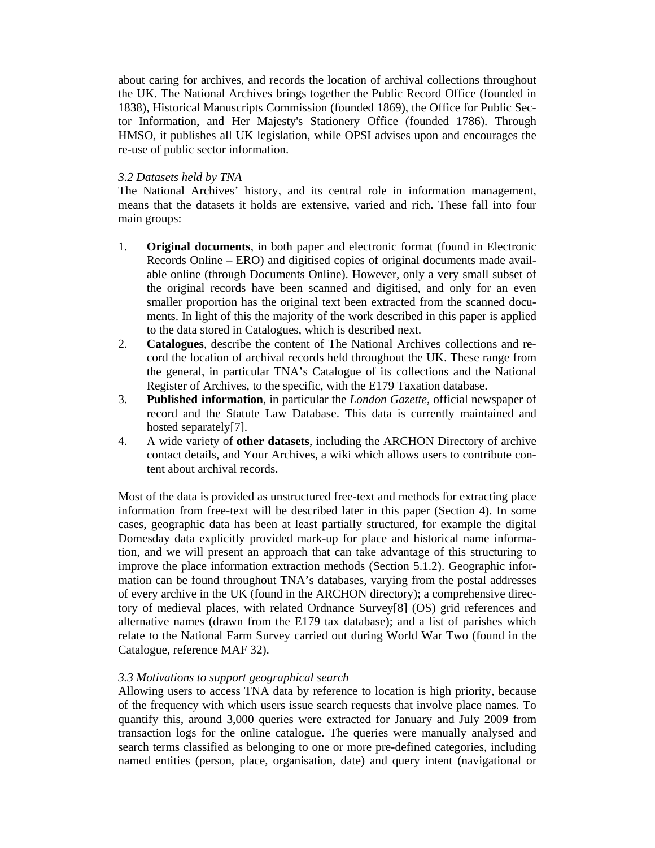about caring for archives, and records the location of archival collections throughout the UK. The National Archives brings together the Public Record Office (founded in 1838), Historical Manuscripts Commission (founded 1869), the Office for Public Sector Information, and Her Majesty's Stationery Office (founded 1786). Through HMSO, it publishes all UK legislation, while OPSI advises upon and encourages the re-use of public sector information.

### *3.2 Datasets held by TNA*

The National Archives' history, and its central role in information management, means that the datasets it holds are extensive, varied and rich. These fall into four main groups:

- 1. **Original documents**, in both paper and electronic format (found in Electronic Records Online – ERO) and digitised copies of original documents made available online (through Documents Online). However, only a very small subset of the original records have been scanned and digitised, and only for an even smaller proportion has the original text been extracted from the scanned documents. In light of this the majority of the work described in this paper is applied to the data stored in Catalogues, which is described next.
- 2. **Catalogues**, describe the content of The National Archives collections and record the location of archival records held throughout the UK. These range from the general, in particular TNA's Catalogue of its collections and the National Register of Archives, to the specific, with the E179 Taxation database.
- 3. **Published information**, in particular the *London Gazette*, official newspaper of record and the Statute Law Database. This data is currently maintained and hosted separately[7].
- 4. A wide variety of **other datasets**, including the ARCHON Directory of archive contact details, and Your Archives, a wiki which allows users to contribute content about archival records.

Most of the data is provided as unstructured free-text and methods for extracting place information from free-text will be described later in this paper (Section 4). In some cases, geographic data has been at least partially structured, for example the digital Domesday data explicitly provided mark-up for place and historical name information, and we will present an approach that can take advantage of this structuring to improve the place information extraction methods (Section 5.1.2). Geographic information can be found throughout TNA's databases, varying from the postal addresses of every archive in the UK (found in the ARCHON directory); a comprehensive directory of medieval places, with related Ordnance Survey[8] (OS) grid references and alternative names (drawn from the E179 tax database); and a list of parishes which relate to the National Farm Survey carried out during World War Two (found in the Catalogue, reference MAF 32).

# *3.3 Motivations to support geographical search*

Allowing users to access TNA data by reference to location is high priority, because of the frequency with which users issue search requests that involve place names. To quantify this, around 3,000 queries were extracted for January and July 2009 from transaction logs for the online catalogue. The queries were manually analysed and search terms classified as belonging to one or more pre-defined categories, including named entities (person, place, organisation, date) and query intent (navigational or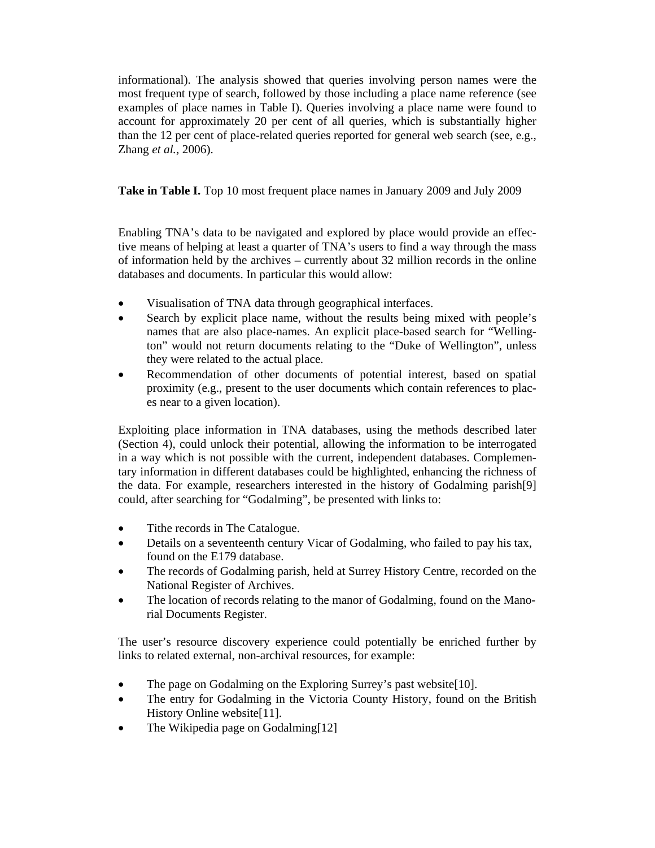informational). The analysis showed that queries involving person names were the most frequent type of search, followed by those including a place name reference (see examples of place names in Table I). Queries involving a place name were found to account for approximately 20 per cent of all queries, which is substantially higher than the 12 per cent of place-related queries reported for general web search (see, e.g., Zhang *et al.*, 2006).

**Take in Table I.** Top 10 most frequent place names in January 2009 and July 2009

Enabling TNA's data to be navigated and explored by place would provide an effective means of helping at least a quarter of TNA's users to find a way through the mass of information held by the archives – currently about 32 million records in the online databases and documents. In particular this would allow:

- Visualisation of TNA data through geographical interfaces.
- Search by explicit place name, without the results being mixed with people's names that are also place-names. An explicit place-based search for "Wellington" would not return documents relating to the "Duke of Wellington", unless they were related to the actual place.
- Recommendation of other documents of potential interest, based on spatial proximity (e.g., present to the user documents which contain references to places near to a given location).

Exploiting place information in TNA databases, using the methods described later (Section 4), could unlock their potential, allowing the information to be interrogated in a way which is not possible with the current, independent databases. Complementary information in different databases could be highlighted, enhancing the richness of the data. For example, researchers interested in the history of Godalming parish[9] could, after searching for "Godalming", be presented with links to:

- Tithe records in The Catalogue.
- Details on a seventeenth century Vicar of Godalming, who failed to pay his tax, found on the E179 database.
- The records of Godalming parish, held at Surrey History Centre, recorded on the National Register of Archives.
- The location of records relating to the manor of Godalming, found on the Manorial Documents Register.

The user's resource discovery experience could potentially be enriched further by links to related external, non-archival resources, for example:

- The page on Godalming on the Exploring Surrey's past website [10].
- The entry for Godalming in the Victoria County History, found on the British History Online website[11].
- The Wikipedia page on Godalming[12]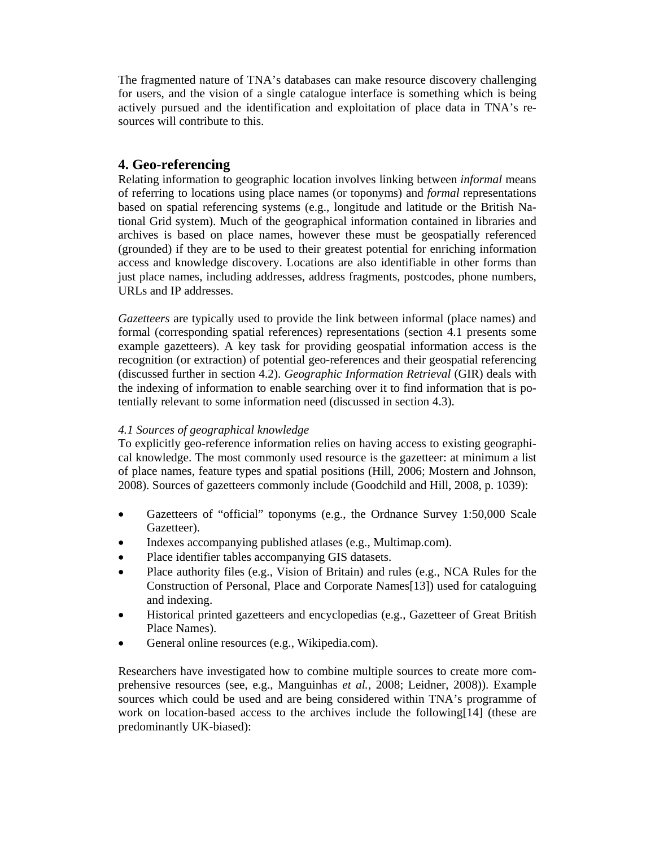The fragmented nature of TNA's databases can make resource discovery challenging for users, and the vision of a single catalogue interface is something which is being actively pursued and the identification and exploitation of place data in TNA's resources will contribute to this.

# **4. Geo-referencing**

Relating information to geographic location involves linking between *informal* means of referring to locations using place names (or toponyms) and *formal* representations based on spatial referencing systems (e.g., longitude and latitude or the British National Grid system). Much of the geographical information contained in libraries and archives is based on place names, however these must be geospatially referenced (grounded) if they are to be used to their greatest potential for enriching information access and knowledge discovery. Locations are also identifiable in other forms than just place names, including addresses, address fragments, postcodes, phone numbers, URLs and IP addresses.

*Gazetteers* are typically used to provide the link between informal (place names) and formal (corresponding spatial references) representations (section 4.1 presents some example gazetteers). A key task for providing geospatial information access is the recognition (or extraction) of potential geo-references and their geospatial referencing (discussed further in section 4.2). *Geographic Information Retrieval* (GIR) deals with the indexing of information to enable searching over it to find information that is potentially relevant to some information need (discussed in section 4.3).

# *4.1 Sources of geographical knowledge*

To explicitly geo-reference information relies on having access to existing geographical knowledge. The most commonly used resource is the gazetteer: at minimum a list of place names, feature types and spatial positions (Hill, 2006; Mostern and Johnson, 2008). Sources of gazetteers commonly include (Goodchild and Hill, 2008, p. 1039):

- Gazetteers of "official" toponyms (e.g., the Ordnance Survey 1:50,000 Scale Gazetteer).
- Indexes accompanying published atlases (e.g., Multimap.com).
- Place identifier tables accompanying GIS datasets.
- Place authority files (e.g., Vision of Britain) and rules (e.g., NCA Rules for the Construction of Personal, Place and Corporate Names[13]) used for cataloguing and indexing.
- Historical printed gazetteers and encyclopedias (e.g., Gazetteer of Great British Place Names).
- General online resources (e.g., Wikipedia.com).

Researchers have investigated how to combine multiple sources to create more comprehensive resources (see, e.g., Manguinhas *et al.*, 2008; Leidner, 2008)). Example sources which could be used and are being considered within TNA's programme of work on location-based access to the archives include the following[14] (these are predominantly UK-biased):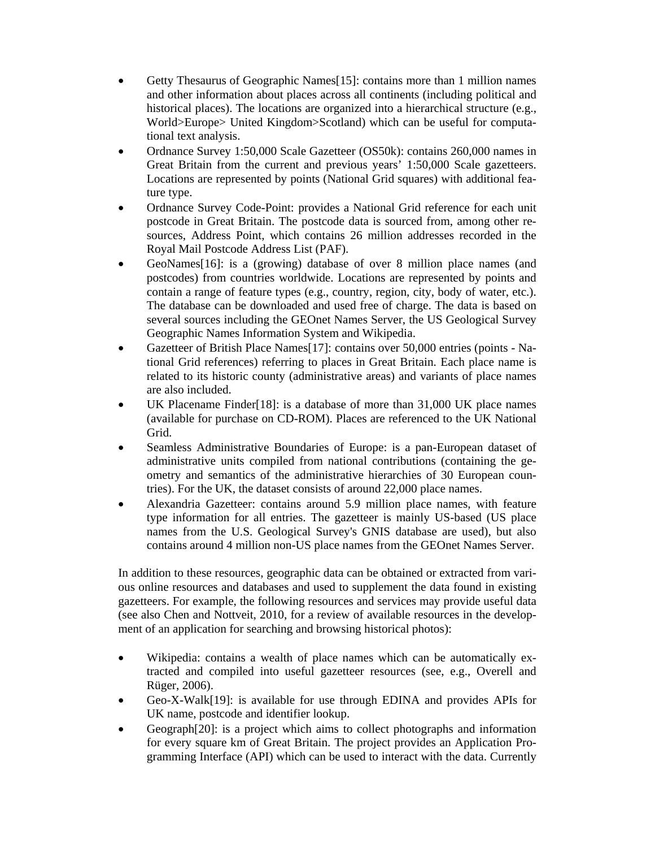- Getty Thesaurus of Geographic Names[15]: contains more than 1 million names and other information about places across all continents (including political and historical places). The locations are organized into a hierarchical structure (e.g., World>Europe> United Kingdom>Scotland) which can be useful for computational text analysis.
- Ordnance Survey 1:50,000 Scale Gazetteer (OS50k): contains 260,000 names in Great Britain from the current and previous years' 1:50,000 Scale gazetteers. Locations are represented by points (National Grid squares) with additional feature type.
- Ordnance Survey Code-Point: provides a National Grid reference for each unit postcode in Great Britain. The postcode data is sourced from, among other resources, Address Point, which contains 26 million addresses recorded in the Royal Mail Postcode Address List (PAF).
- GeoNames[16]: is a (growing) database of over 8 million place names (and postcodes) from countries worldwide. Locations are represented by points and contain a range of feature types (e.g., country, region, city, body of water, etc.). The database can be downloaded and used free of charge. The data is based on several sources including the GEOnet Names Server, the US Geological Survey Geographic Names Information System and Wikipedia.
- Gazetteer of British Place Names[17]: contains over 50,000 entries (points National Grid references) referring to places in Great Britain. Each place name is related to its historic county (administrative areas) and variants of place names are also included.
- UK Placename Finder[18]: is a database of more than 31,000 UK place names (available for purchase on CD-ROM). Places are referenced to the UK National Grid.
- Seamless Administrative Boundaries of Europe: is a pan-European dataset of administrative units compiled from national contributions (containing the geometry and semantics of the administrative hierarchies of 30 European countries). For the UK, the dataset consists of around 22,000 place names.
- Alexandria Gazetteer: contains around 5.9 million place names, with feature type information for all entries. The gazetteer is mainly US-based (US place names from the U.S. Geological Survey's GNIS database are used), but also contains around 4 million non-US place names from the GEOnet Names Server.

In addition to these resources, geographic data can be obtained or extracted from various online resources and databases and used to supplement the data found in existing gazetteers. For example, the following resources and services may provide useful data (see also Chen and Nottveit, 2010, for a review of available resources in the development of an application for searching and browsing historical photos):

- Wikipedia: contains a wealth of place names which can be automatically extracted and compiled into useful gazetteer resources (see, e.g., Overell and Rüger, 2006).
- Geo-X-Walk[19]: is available for use through EDINA and provides APIs for UK name, postcode and identifier lookup.
- Geograph[20]: is a project which aims to collect photographs and information for every square km of Great Britain. The project provides an Application Programming Interface (API) which can be used to interact with the data. Currently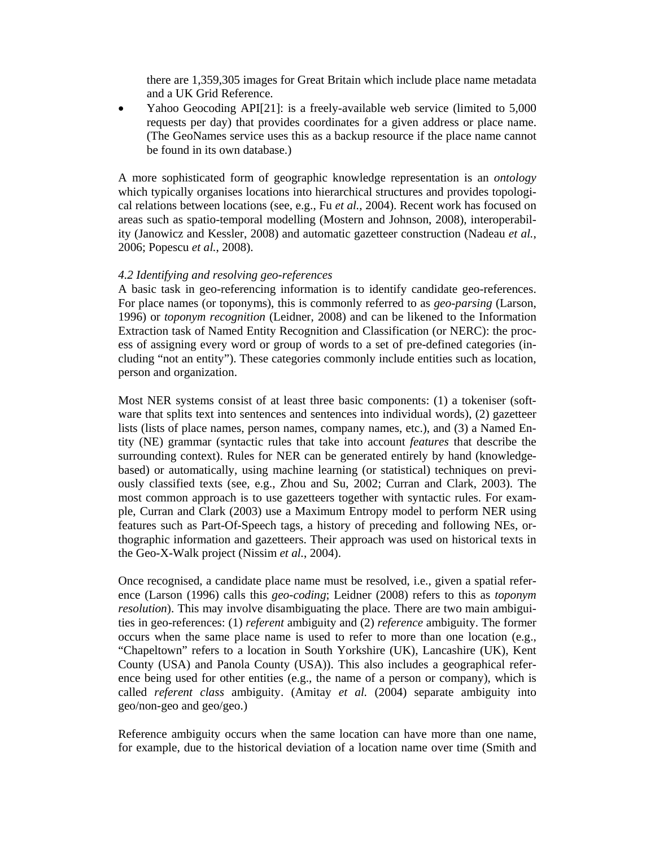there are 1,359,305 images for Great Britain which include place name metadata and a UK Grid Reference.

Yahoo Geocoding API[21]: is a freely-available web service (limited to 5,000) requests per day) that provides coordinates for a given address or place name. (The GeoNames service uses this as a backup resource if the place name cannot be found in its own database.)

A more sophisticated form of geographic knowledge representation is an *ontology* which typically organises locations into hierarchical structures and provides topological relations between locations (see, e.g., Fu *et al.*, 2004). Recent work has focused on areas such as spatio-temporal modelling (Mostern and Johnson, 2008), interoperability (Janowicz and Kessler, 2008) and automatic gazetteer construction (Nadeau *et al.*, 2006; Popescu *et al.*, 2008).

### *4.2 Identifying and resolving geo-references*

A basic task in geo-referencing information is to identify candidate geo-references. For place names (or toponyms), this is commonly referred to as *geo-parsing* (Larson, 1996) or *toponym recognition* (Leidner, 2008) and can be likened to the Information Extraction task of Named Entity Recognition and Classification (or NERC): the process of assigning every word or group of words to a set of pre-defined categories (including "not an entity"). These categories commonly include entities such as location, person and organization.

Most NER systems consist of at least three basic components: (1) a tokeniser (software that splits text into sentences and sentences into individual words), (2) gazetteer lists (lists of place names, person names, company names, etc.), and (3) a Named Entity (NE) grammar (syntactic rules that take into account *features* that describe the surrounding context). Rules for NER can be generated entirely by hand (knowledgebased) or automatically, using machine learning (or statistical) techniques on previously classified texts (see, e.g., Zhou and Su, 2002; Curran and Clark, 2003). The most common approach is to use gazetteers together with syntactic rules. For example, Curran and Clark (2003) use a Maximum Entropy model to perform NER using features such as Part-Of-Speech tags, a history of preceding and following NEs, orthographic information and gazetteers. Their approach was used on historical texts in the Geo-X-Walk project (Nissim *et al.*, 2004).

Once recognised, a candidate place name must be resolved, i.e., given a spatial reference (Larson (1996) calls this *geo-coding*; Leidner (2008) refers to this as *toponym resolution*). This may involve disambiguating the place. There are two main ambiguities in geo-references: (1) *referent* ambiguity and (2) *reference* ambiguity. The former occurs when the same place name is used to refer to more than one location (e.g., "Chapeltown" refers to a location in South Yorkshire (UK), Lancashire (UK), Kent County (USA) and Panola County (USA)). This also includes a geographical reference being used for other entities (e.g., the name of a person or company), which is called *referent class* ambiguity. (Amitay *et al.* (2004) separate ambiguity into geo/non-geo and geo/geo.)

Reference ambiguity occurs when the same location can have more than one name, for example, due to the historical deviation of a location name over time (Smith and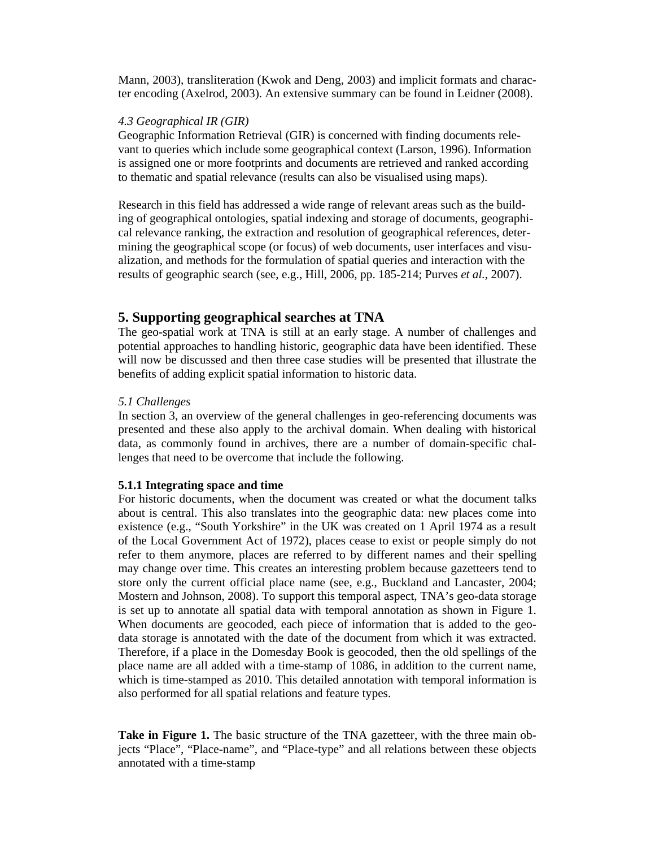Mann, 2003), transliteration (Kwok and Deng, 2003) and implicit formats and character encoding (Axelrod, 2003). An extensive summary can be found in Leidner (2008).

#### *4.3 Geographical IR (GIR)*

Geographic Information Retrieval (GIR) is concerned with finding documents relevant to queries which include some geographical context (Larson, 1996). Information is assigned one or more footprints and documents are retrieved and ranked according to thematic and spatial relevance (results can also be visualised using maps).

Research in this field has addressed a wide range of relevant areas such as the building of geographical ontologies, spatial indexing and storage of documents, geographical relevance ranking, the extraction and resolution of geographical references, determining the geographical scope (or focus) of web documents, user interfaces and visualization, and methods for the formulation of spatial queries and interaction with the results of geographic search (see, e.g., Hill, 2006, pp. 185-214; Purves *et al.*, 2007).

# **5. Supporting geographical searches at TNA**

The geo-spatial work at TNA is still at an early stage. A number of challenges and potential approaches to handling historic, geographic data have been identified. These will now be discussed and then three case studies will be presented that illustrate the benefits of adding explicit spatial information to historic data.

#### *5.1 Challenges*

In section 3, an overview of the general challenges in geo-referencing documents was presented and these also apply to the archival domain. When dealing with historical data, as commonly found in archives, there are a number of domain-specific challenges that need to be overcome that include the following.

#### **5.1.1 Integrating space and time**

For historic documents, when the document was created or what the document talks about is central. This also translates into the geographic data: new places come into existence (e.g., "South Yorkshire" in the UK was created on 1 April 1974 as a result of the Local Government Act of 1972), places cease to exist or people simply do not refer to them anymore, places are referred to by different names and their spelling may change over time. This creates an interesting problem because gazetteers tend to store only the current official place name (see, e.g., Buckland and Lancaster, 2004; Mostern and Johnson, 2008). To support this temporal aspect, TNA's geo-data storage is set up to annotate all spatial data with temporal annotation as shown in Figure 1. When documents are geocoded, each piece of information that is added to the geodata storage is annotated with the date of the document from which it was extracted. Therefore, if a place in the Domesday Book is geocoded, then the old spellings of the place name are all added with a time-stamp of 1086, in addition to the current name, which is time-stamped as 2010. This detailed annotation with temporal information is also performed for all spatial relations and feature types.

Take in Figure 1. The basic structure of the TNA gazetteer, with the three main objects "Place", "Place-name", and "Place-type" and all relations between these objects annotated with a time-stamp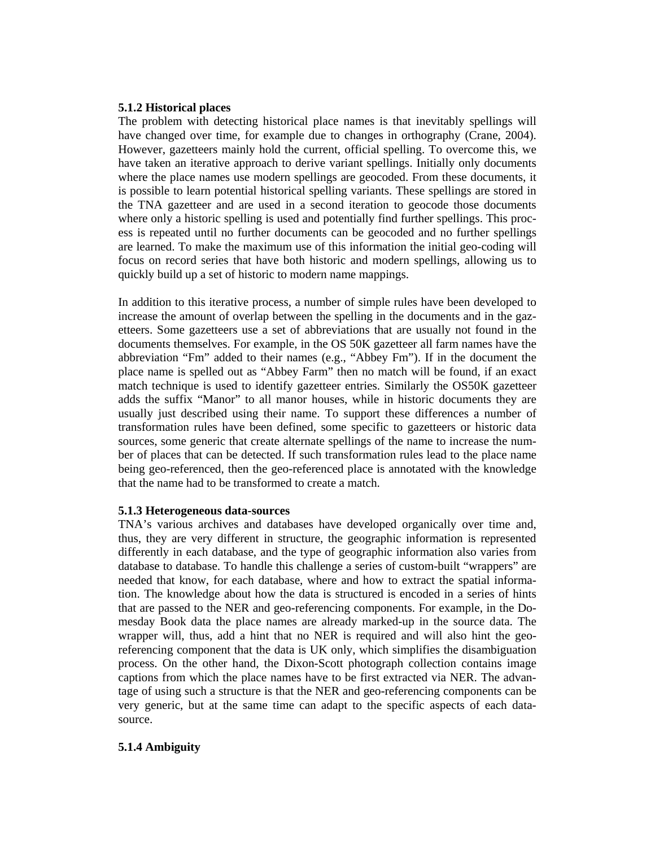# **5.1.2 Historical places**

The problem with detecting historical place names is that inevitably spellings will have changed over time, for example due to changes in orthography (Crane, 2004). However, gazetteers mainly hold the current, official spelling. To overcome this, we have taken an iterative approach to derive variant spellings. Initially only documents where the place names use modern spellings are geocoded. From these documents, it is possible to learn potential historical spelling variants. These spellings are stored in the TNA gazetteer and are used in a second iteration to geocode those documents where only a historic spelling is used and potentially find further spellings. This process is repeated until no further documents can be geocoded and no further spellings are learned. To make the maximum use of this information the initial geo-coding will focus on record series that have both historic and modern spellings, allowing us to quickly build up a set of historic to modern name mappings.

In addition to this iterative process, a number of simple rules have been developed to increase the amount of overlap between the spelling in the documents and in the gazetteers. Some gazetteers use a set of abbreviations that are usually not found in the documents themselves. For example, in the OS 50K gazetteer all farm names have the abbreviation "Fm" added to their names (e.g., "Abbey Fm"). If in the document the place name is spelled out as "Abbey Farm" then no match will be found, if an exact match technique is used to identify gazetteer entries. Similarly the OS50K gazetteer adds the suffix "Manor" to all manor houses, while in historic documents they are usually just described using their name. To support these differences a number of transformation rules have been defined, some specific to gazetteers or historic data sources, some generic that create alternate spellings of the name to increase the number of places that can be detected. If such transformation rules lead to the place name being geo-referenced, then the geo-referenced place is annotated with the knowledge that the name had to be transformed to create a match.

#### **5.1.3 Heterogeneous data-sources**

TNA's various archives and databases have developed organically over time and, thus, they are very different in structure, the geographic information is represented differently in each database, and the type of geographic information also varies from database to database. To handle this challenge a series of custom-built "wrappers" are needed that know, for each database, where and how to extract the spatial information. The knowledge about how the data is structured is encoded in a series of hints that are passed to the NER and geo-referencing components. For example, in the Domesday Book data the place names are already marked-up in the source data. The wrapper will, thus, add a hint that no NER is required and will also hint the georeferencing component that the data is UK only, which simplifies the disambiguation process. On the other hand, the Dixon-Scott photograph collection contains image captions from which the place names have to be first extracted via NER. The advantage of using such a structure is that the NER and geo-referencing components can be very generic, but at the same time can adapt to the specific aspects of each datasource.

# **5.1.4 Ambiguity**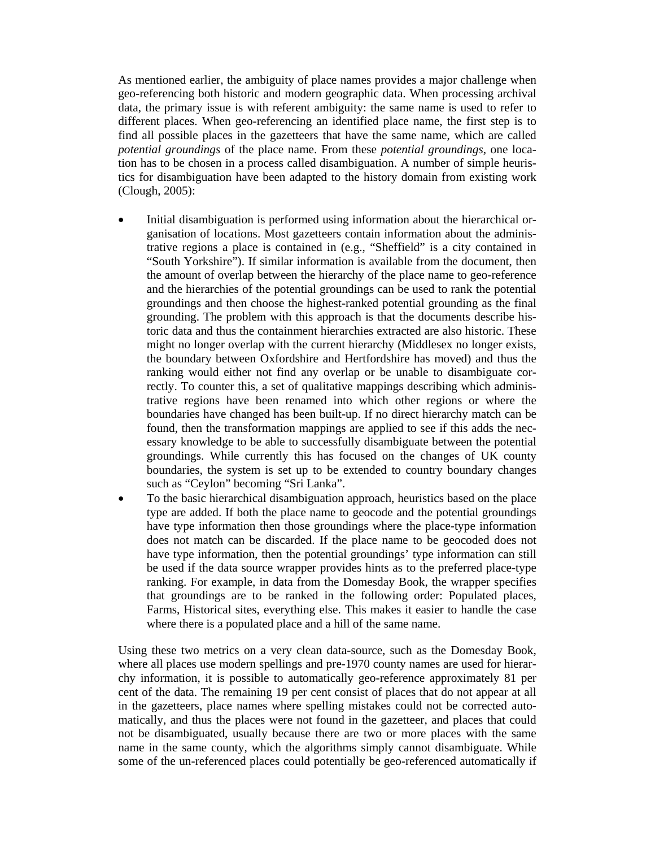As mentioned earlier, the ambiguity of place names provides a major challenge when geo-referencing both historic and modern geographic data. When processing archival data, the primary issue is with referent ambiguity: the same name is used to refer to different places. When geo-referencing an identified place name, the first step is to find all possible places in the gazetteers that have the same name, which are called *potential groundings* of the place name. From these *potential groundings,* one location has to be chosen in a process called disambiguation. A number of simple heuristics for disambiguation have been adapted to the history domain from existing work (Clough, 2005):

- Initial disambiguation is performed using information about the hierarchical organisation of locations. Most gazetteers contain information about the administrative regions a place is contained in (e.g., "Sheffield" is a city contained in "South Yorkshire"). If similar information is available from the document, then the amount of overlap between the hierarchy of the place name to geo-reference and the hierarchies of the potential groundings can be used to rank the potential groundings and then choose the highest-ranked potential grounding as the final grounding. The problem with this approach is that the documents describe historic data and thus the containment hierarchies extracted are also historic. These might no longer overlap with the current hierarchy (Middlesex no longer exists, the boundary between Oxfordshire and Hertfordshire has moved) and thus the ranking would either not find any overlap or be unable to disambiguate correctly. To counter this, a set of qualitative mappings describing which administrative regions have been renamed into which other regions or where the boundaries have changed has been built-up. If no direct hierarchy match can be found, then the transformation mappings are applied to see if this adds the necessary knowledge to be able to successfully disambiguate between the potential groundings. While currently this has focused on the changes of UK county boundaries, the system is set up to be extended to country boundary changes such as "Ceylon" becoming "Sri Lanka".
- To the basic hierarchical disambiguation approach, heuristics based on the place type are added. If both the place name to geocode and the potential groundings have type information then those groundings where the place-type information does not match can be discarded. If the place name to be geocoded does not have type information, then the potential groundings' type information can still be used if the data source wrapper provides hints as to the preferred place-type ranking. For example, in data from the Domesday Book, the wrapper specifies that groundings are to be ranked in the following order: Populated places, Farms, Historical sites, everything else. This makes it easier to handle the case where there is a populated place and a hill of the same name.

Using these two metrics on a very clean data-source, such as the Domesday Book, where all places use modern spellings and pre-1970 county names are used for hierarchy information, it is possible to automatically geo-reference approximately 81 per cent of the data. The remaining 19 per cent consist of places that do not appear at all in the gazetteers, place names where spelling mistakes could not be corrected automatically, and thus the places were not found in the gazetteer, and places that could not be disambiguated, usually because there are two or more places with the same name in the same county, which the algorithms simply cannot disambiguate. While some of the un-referenced places could potentially be geo-referenced automatically if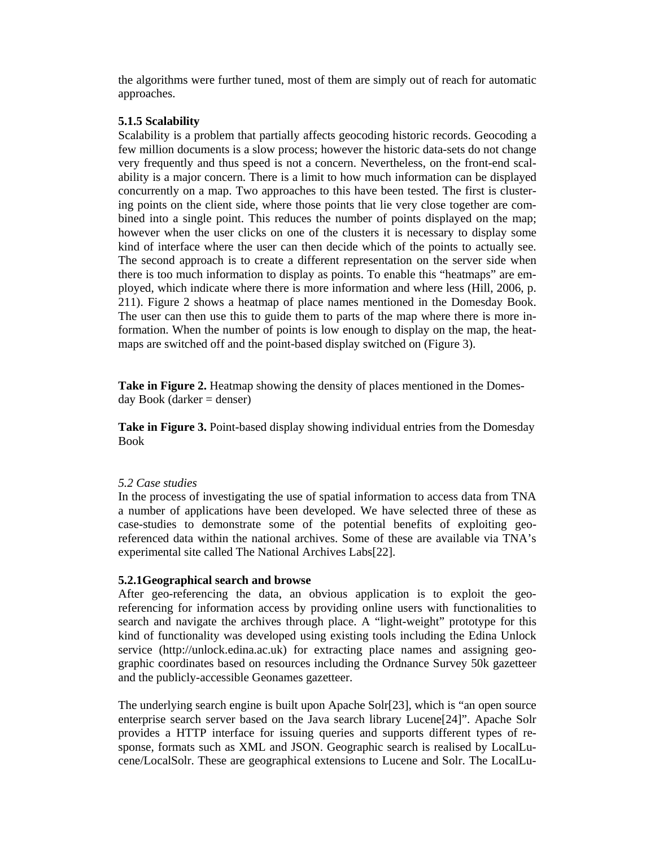the algorithms were further tuned, most of them are simply out of reach for automatic approaches.

# **5.1.5 Scalability**

Scalability is a problem that partially affects geocoding historic records. Geocoding a few million documents is a slow process; however the historic data-sets do not change very frequently and thus speed is not a concern. Nevertheless, on the front-end scalability is a major concern. There is a limit to how much information can be displayed concurrently on a map. Two approaches to this have been tested. The first is clustering points on the client side, where those points that lie very close together are combined into a single point. This reduces the number of points displayed on the map; however when the user clicks on one of the clusters it is necessary to display some kind of interface where the user can then decide which of the points to actually see. The second approach is to create a different representation on the server side when there is too much information to display as points. To enable this "heatmaps" are employed, which indicate where there is more information and where less (Hill, 2006, p. 211). Figure 2 shows a heatmap of place names mentioned in the Domesday Book. The user can then use this to guide them to parts of the map where there is more information. When the number of points is low enough to display on the map, the heatmaps are switched off and the point-based display switched on (Figure 3).

**Take in Figure 2.** Heatmap showing the density of places mentioned in the Domes $day Book (darker = denser)$ 

**Take in Figure 3.** Point-based display showing individual entries from the Domesday Book

# *5.2 Case studies*

In the process of investigating the use of spatial information to access data from TNA a number of applications have been developed. We have selected three of these as case-studies to demonstrate some of the potential benefits of exploiting georeferenced data within the national archives. Some of these are available via TNA's experimental site called The National Archives Labs[22].

# **5.2.1Geographical search and browse**

After geo-referencing the data, an obvious application is to exploit the georeferencing for information access by providing online users with functionalities to search and navigate the archives through place. A "light-weight" prototype for this kind of functionality was developed using existing tools including the Edina Unlock service (http://unlock.edina.ac.uk) for extracting place names and assigning geographic coordinates based on resources including the Ordnance Survey 50k gazetteer and the publicly-accessible Geonames gazetteer.

The underlying search engine is built upon Apache Solr[23], which is "an open source enterprise search server based on the Java search library Lucene[24]". Apache Solr provides a HTTP interface for issuing queries and supports different types of response, formats such as XML and JSON. Geographic search is realised by LocalLucene/LocalSolr. These are geographical extensions to Lucene and Solr. The LocalLu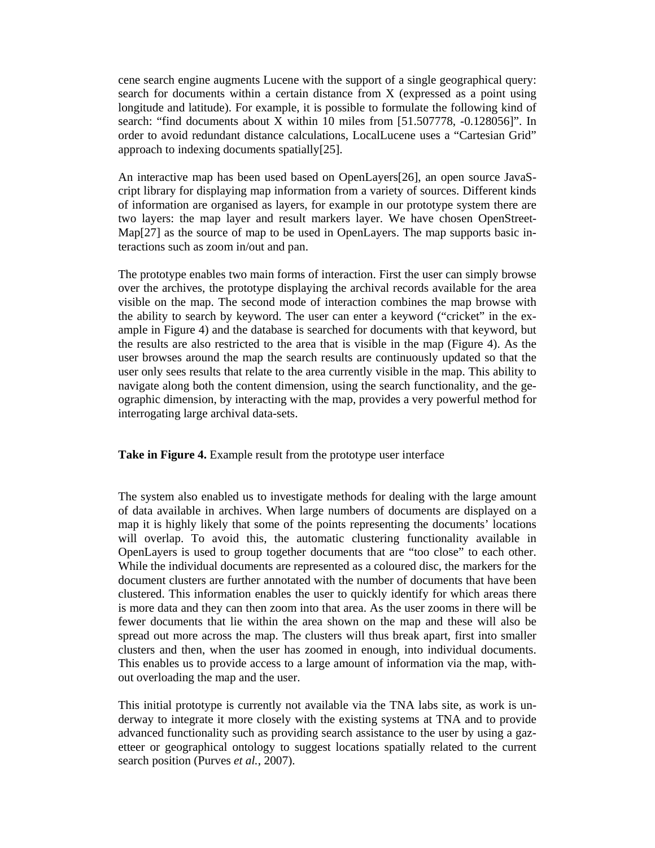cene search engine augments Lucene with the support of a single geographical query: search for documents within a certain distance from X (expressed as a point using longitude and latitude). For example, it is possible to formulate the following kind of search: "find documents about X within 10 miles from [51.507778, -0.128056]". In order to avoid redundant distance calculations, LocalLucene uses a "Cartesian Grid" approach to indexing documents spatially[25].

An interactive map has been used based on OpenLayers[26], an open source JavaScript library for displaying map information from a variety of sources. Different kinds of information are organised as layers, for example in our prototype system there are two layers: the map layer and result markers layer. We have chosen OpenStreet-Map[27] as the source of map to be used in OpenLayers. The map supports basic interactions such as zoom in/out and pan.

The prototype enables two main forms of interaction. First the user can simply browse over the archives, the prototype displaying the archival records available for the area visible on the map. The second mode of interaction combines the map browse with the ability to search by keyword. The user can enter a keyword ("cricket" in the example in Figure 4) and the database is searched for documents with that keyword, but the results are also restricted to the area that is visible in the map (Figure 4). As the user browses around the map the search results are continuously updated so that the user only sees results that relate to the area currently visible in the map. This ability to navigate along both the content dimension, using the search functionality, and the geographic dimension, by interacting with the map, provides a very powerful method for interrogating large archival data-sets.

**Take in Figure 4.** Example result from the prototype user interface

The system also enabled us to investigate methods for dealing with the large amount of data available in archives. When large numbers of documents are displayed on a map it is highly likely that some of the points representing the documents' locations will overlap. To avoid this, the automatic clustering functionality available in OpenLayers is used to group together documents that are "too close" to each other. While the individual documents are represented as a coloured disc, the markers for the document clusters are further annotated with the number of documents that have been clustered. This information enables the user to quickly identify for which areas there is more data and they can then zoom into that area. As the user zooms in there will be fewer documents that lie within the area shown on the map and these will also be spread out more across the map. The clusters will thus break apart, first into smaller clusters and then, when the user has zoomed in enough, into individual documents. This enables us to provide access to a large amount of information via the map, without overloading the map and the user.

This initial prototype is currently not available via the TNA labs site, as work is underway to integrate it more closely with the existing systems at TNA and to provide advanced functionality such as providing search assistance to the user by using a gazetteer or geographical ontology to suggest locations spatially related to the current search position (Purves *et al.*, 2007).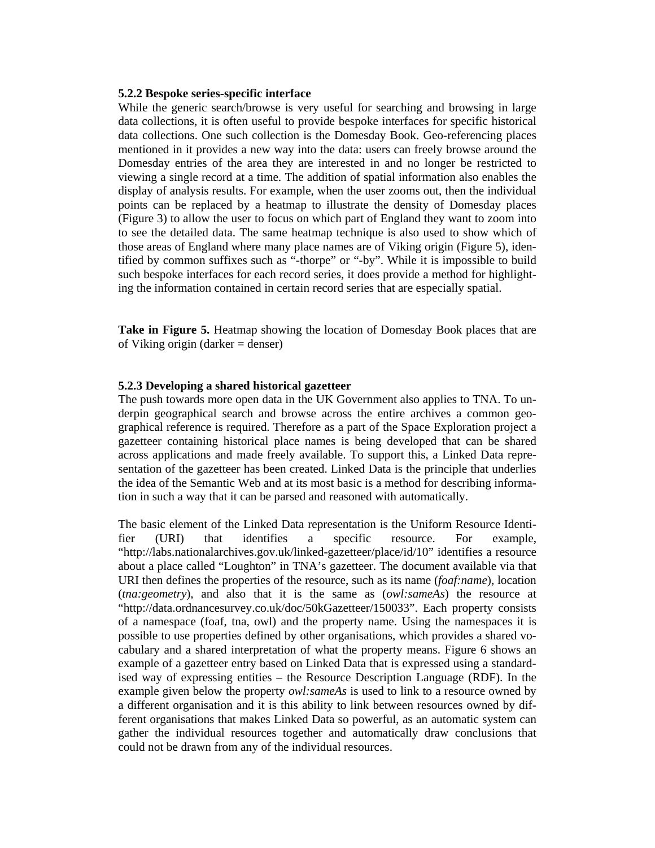#### **5.2.2 Bespoke series-specific interface**

While the generic search/browse is very useful for searching and browsing in large data collections, it is often useful to provide bespoke interfaces for specific historical data collections. One such collection is the Domesday Book. Geo-referencing places mentioned in it provides a new way into the data: users can freely browse around the Domesday entries of the area they are interested in and no longer be restricted to viewing a single record at a time. The addition of spatial information also enables the display of analysis results. For example, when the user zooms out, then the individual points can be replaced by a heatmap to illustrate the density of Domesday places (Figure 3) to allow the user to focus on which part of England they want to zoom into to see the detailed data. The same heatmap technique is also used to show which of those areas of England where many place names are of Viking origin (Figure 5), identified by common suffixes such as "-thorpe" or "-by". While it is impossible to build such bespoke interfaces for each record series, it does provide a method for highlighting the information contained in certain record series that are especially spatial.

**Take in Figure 5.** Heatmap showing the location of Domesday Book places that are of Viking origin (darker  $=$  denser)

### **5.2.3 Developing a shared historical gazetteer**

The push towards more open data in the UK Government also applies to TNA. To underpin geographical search and browse across the entire archives a common geographical reference is required. Therefore as a part of the Space Exploration project a gazetteer containing historical place names is being developed that can be shared across applications and made freely available. To support this, a Linked Data representation of the gazetteer has been created. Linked Data is the principle that underlies the idea of the Semantic Web and at its most basic is a method for describing information in such a way that it can be parsed and reasoned with automatically.

The basic element of the Linked Data representation is the Uniform Resource Identifier (URI) that identifies a specific resource. For example, "http://labs.nationalarchives.gov.uk/linked-gazetteer/place/id/10" identifies a resource about a place called "Loughton" in TNA's gazetteer. The document available via that URI then defines the properties of the resource, such as its name (*foaf:name*), location (*tna:geometry*), and also that it is the same as (*owl:sameAs*) the resource at "http://data.ordnancesurvey.co.uk/doc/50kGazetteer/150033". Each property consists of a namespace (foaf, tna, owl) and the property name. Using the namespaces it is possible to use properties defined by other organisations, which provides a shared vocabulary and a shared interpretation of what the property means. Figure 6 shows an example of a gazetteer entry based on Linked Data that is expressed using a standardised way of expressing entities – the Resource Description Language (RDF). In the example given below the property *owl:sameAs* is used to link to a resource owned by a different organisation and it is this ability to link between resources owned by different organisations that makes Linked Data so powerful, as an automatic system can gather the individual resources together and automatically draw conclusions that could not be drawn from any of the individual resources.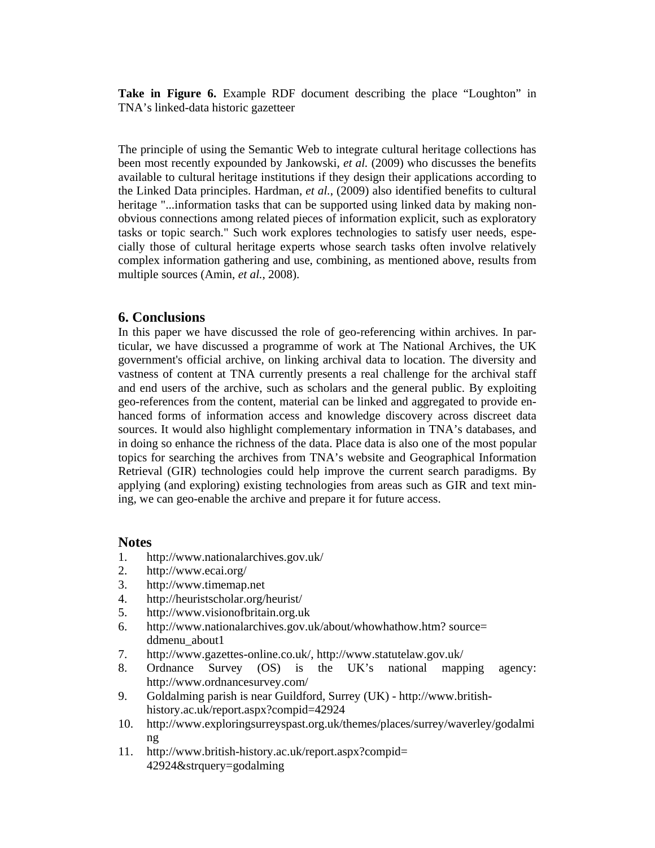**Take in Figure 6.** Example RDF document describing the place "Loughton" in TNA's linked-data historic gazetteer

The principle of using the Semantic Web to integrate cultural heritage collections has been most recently expounded by Jankowski, *et al.* (2009) who discusses the benefits available to cultural heritage institutions if they design their applications according to the Linked Data principles. Hardman, *et al.*, (2009) also identified benefits to cultural heritage "...information tasks that can be supported using linked data by making nonobvious connections among related pieces of information explicit, such as exploratory tasks or topic search." Such work explores technologies to satisfy user needs, especially those of cultural heritage experts whose search tasks often involve relatively complex information gathering and use, combining, as mentioned above, results from multiple sources (Amin, *et al.*, 2008).

# **6. Conclusions**

In this paper we have discussed the role of geo-referencing within archives. In particular, we have discussed a programme of work at The National Archives, the UK government's official archive, on linking archival data to location. The diversity and vastness of content at TNA currently presents a real challenge for the archival staff and end users of the archive, such as scholars and the general public. By exploiting geo-references from the content, material can be linked and aggregated to provide enhanced forms of information access and knowledge discovery across discreet data sources. It would also highlight complementary information in TNA's databases, and in doing so enhance the richness of the data. Place data is also one of the most popular topics for searching the archives from TNA's website and Geographical Information Retrieval (GIR) technologies could help improve the current search paradigms. By applying (and exploring) existing technologies from areas such as GIR and text mining, we can geo-enable the archive and prepare it for future access.

### **Notes**

- 1. http://www.nationalarchives.gov.uk/
- 2. http://www.ecai.org/
- 3. http://www.timemap.net
- 4. http://heuristscholar.org/heurist/
- 5. http://www.visionofbritain.org.uk
- 6. http://www.nationalarchives.gov.uk/about/whowhathow.htm? source= ddmenu\_about1
- 7. http://www.gazettes-online.co.uk/, http://www.statutelaw.gov.uk/
- 8. Ordnance Survey (OS) is the UK's national mapping agency: http://www.ordnancesurvey.com/
- 9. Goldalming parish is near Guildford, Surrey (UK) http://www.britishhistory.ac.uk/report.aspx?compid=42924
- 10. http://www.exploringsurreyspast.org.uk/themes/places/surrey/waverley/godalmi ng
- 11. http://www.british-history.ac.uk/report.aspx?compid= 42924&strquery=godalming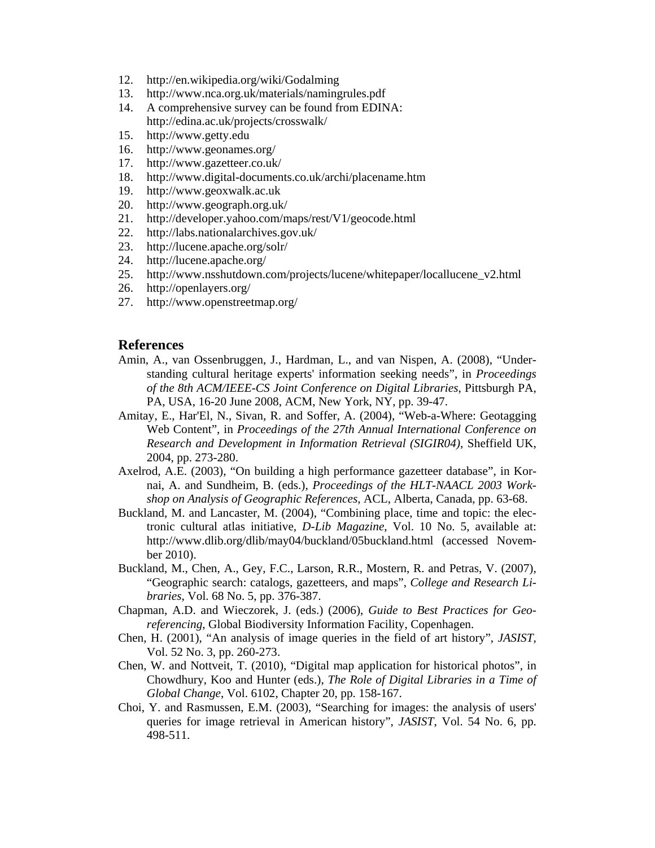- 12. http://en.wikipedia.org/wiki/Godalming
- 13. http://www.nca.org.uk/materials/namingrules.pdf
- 14. A comprehensive survey can be found from EDINA: http://edina.ac.uk/projects/crosswalk/
- 15. http://www.getty.edu
- 16. http://www.geonames.org/
- 17. http://www.gazetteer.co.uk/
- 18. http://www.digital-documents.co.uk/archi/placename.htm
- 19. http://www.geoxwalk.ac.uk
- 20. http://www.geograph.org.uk/
- 21. http://developer.yahoo.com/maps/rest/V1/geocode.html
- 22. http://labs.nationalarchives.gov.uk/
- 23. http://lucene.apache.org/solr/
- 24. http://lucene.apache.org/
- 25. http://www.nsshutdown.com/projects/lucene/whitepaper/locallucene\_v2.html
- 26. http://openlayers.org/
- 27. http://www.openstreetmap.org/

# **References**

- Amin, A., van Ossenbruggen, J., Hardman, L., and van Nispen, A. (2008), "Understanding cultural heritage experts' information seeking needs", in *Proceedings of the 8th ACM/IEEE-CS Joint Conference on Digital Libraries*, Pittsburgh PA, PA, USA, 16-20 June 2008, ACM, New York, NY, pp. 39-47.
- Amitay, E., Har'El, N., Sivan, R. and Soffer, A. (2004), "Web-a-Where: Geotagging Web Content", in *Proceedings of the 27th Annual International Conference on Research and Development in Information Retrieval (SIGIR04)*, Sheffield UK, 2004, pp. 273-280.
- Axelrod, A.E. (2003), "On building a high performance gazetteer database", in Kornai, A. and Sundheim, B. (eds.), *Proceedings of the HLT-NAACL 2003 Workshop on Analysis of Geographic References*, ACL, Alberta, Canada, pp. 63-68.
- Buckland, M. and Lancaster, M. (2004), "Combining place, time and topic: the electronic cultural atlas initiative*, D-Lib Magazine*, Vol. 10 No. 5, available at: http://www.dlib.org/dlib/may04/buckland/05buckland.html (accessed November 2010).
- Buckland, M., Chen, A., Gey, F.C., Larson, R.R., Mostern, R. and Petras, V. (2007), "Geographic search: catalogs, gazetteers, and maps", *College and Research Libraries*, Vol. 68 No. 5, pp. 376-387.
- Chapman, A.D. and Wieczorek, J. (eds.) (2006), *Guide to Best Practices for Georeferencing*, Global Biodiversity Information Facility, Copenhagen.
- Chen, H. (2001), "An analysis of image queries in the field of art history", *JASIST*, Vol. 52 No. 3, pp. 260-273.
- Chen, W. and Nottveit, T. (2010), "Digital map application for historical photos", in Chowdhury, Koo and Hunter (eds.), *The Role of Digital Libraries in a Time of Global Change*, Vol. 6102, Chapter 20, pp. 158-167.
- Choi, Y. and Rasmussen, E.M. (2003), "Searching for images: the analysis of users' queries for image retrieval in American history", *JASIST*, Vol. 54 No. 6, pp. 498-511.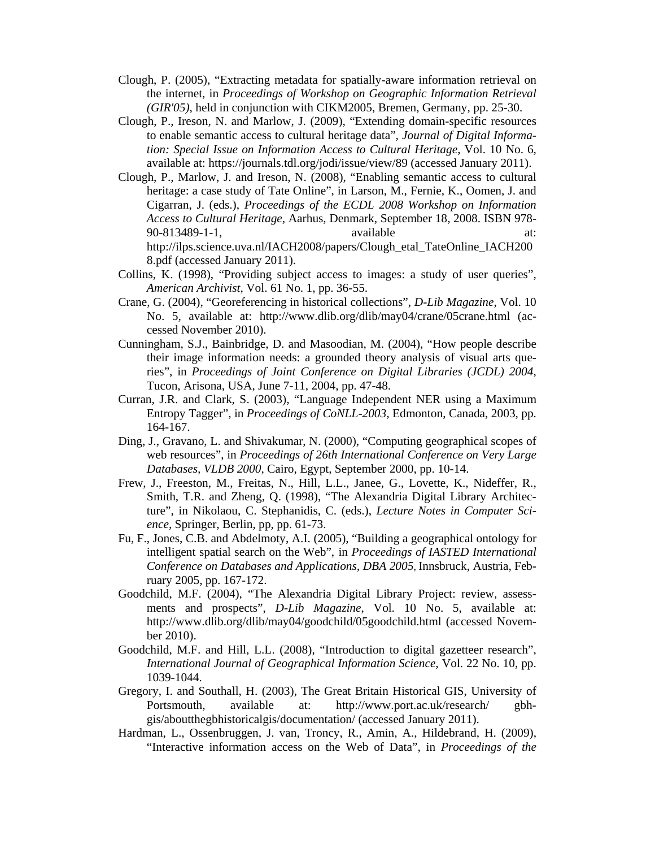- Clough, P. (2005), "Extracting metadata for spatially-aware information retrieval on the internet, in *Proceedings of Workshop on Geographic Information Retrieval (GIR'05)*, held in conjunction with CIKM2005, Bremen, Germany, pp. 25-30.
- Clough, P., Ireson, N. and Marlow, J. (2009), "Extending domain-specific resources to enable semantic access to cultural heritage data", *Journal of Digital Information: Special Issue on Information Access to Cultural Heritage*, Vol. 10 No. 6, available at: https://journals.tdl.org/jodi/issue/view/89 (accessed January 2011).
- Clough, P., Marlow, J. and Ireson, N. (2008), "Enabling semantic access to cultural heritage: a case study of Tate Online", in Larson, M., Fernie, K., Oomen, J. and Cigarran, J. (eds.), *Proceedings of the ECDL 2008 Workshop on Information Access to Cultural Heritage*, Aarhus, Denmark, September 18, 2008. ISBN 978- 90-813489-1-1, available at: http://ilps.science.uva.nl/IACH2008/papers/Clough\_etal\_TateOnline\_IACH200 8.pdf (accessed January 2011).
- Collins, K. (1998), "Providing subject access to images: a study of user queries", *American Archivist*, Vol. 61 No. 1, pp. 36-55.
- Crane, G. (2004), "Georeferencing in historical collections", *D-Lib Magazine*, Vol. 10 No. 5, available at: http://www.dlib.org/dlib/may04/crane/05crane.html (accessed November 2010).
- Cunningham, S.J., Bainbridge, D. and Masoodian, M. (2004), "How people describe their image information needs: a grounded theory analysis of visual arts queries", in *Proceedings of Joint Conference on Digital Libraries (JCDL) 2004*, Tucon, Arisona, USA, June 7-11, 2004, pp. 47-48.
- Curran, J.R. and Clark, S. (2003), "Language Independent NER using a Maximum Entropy Tagger", in *Proceedings of CoNLL-2003*, Edmonton, Canada, 2003, pp. 164-167.
- Ding, J., Gravano, L. and Shivakumar, N. (2000), "Computing geographical scopes of web resources", in *Proceedings of 26th International Conference on Very Large Databases, VLDB 2000*, Cairo, Egypt, September 2000, pp. 10-14.
- Frew, J., Freeston, M., Freitas, N., Hill, L.L., Janee, G., Lovette, K., Nideffer, R., Smith, T.R. and Zheng, Q. (1998), "The Alexandria Digital Library Architecture", in Nikolaou, C. Stephanidis, C. (eds.), *Lecture Notes in Computer Science,* Springer, Berlin, pp, pp. 61-73.
- Fu, F., Jones, C.B. and Abdelmoty, A.I. (2005), "Building a geographical ontology for intelligent spatial search on the Web", in *Proceedings of IASTED International Conference on Databases and Applications, DBA 2005*, Innsbruck, Austria, February 2005, pp. 167-172.
- Goodchild, M.F. (2004), "The Alexandria Digital Library Project: review, assessments and prospects", *D-Lib Magazine*, Vol. 10 No. 5, available at: http://www.dlib.org/dlib/may04/goodchild/05goodchild.html (accessed November 2010).
- Goodchild, M.F. and Hill, L.L. (2008), "Introduction to digital gazetteer research", *International Journal of Geographical Information Science*, Vol. 22 No. 10, pp. 1039-1044.
- Gregory, I. and Southall, H. (2003), The Great Britain Historical GIS, University of Portsmouth, available at: http://www.port.ac.uk/research/ gbhgis/aboutthegbhistoricalgis/documentation/ (accessed January 2011).
- Hardman, L., Ossenbruggen, J. van, Troncy, R., Amin, A., Hildebrand, H. (2009), "Interactive information access on the Web of Data", in *Proceedings of the*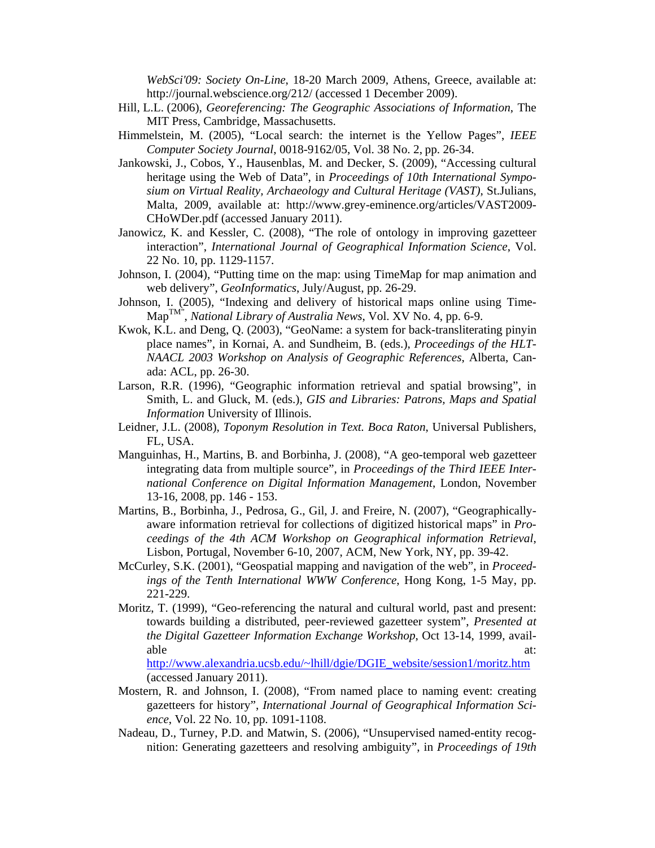*WebSci'09: Society On-Line*, 18-20 March 2009, Athens, Greece, available at: http://journal.webscience.org/212/ (accessed 1 December 2009).

- Hill, L.L. (2006), *Georeferencing: The Geographic Associations of Information*, The MIT Press, Cambridge, Massachusetts.
- Himmelstein, M. (2005), "Local search: the internet is the Yellow Pages", *IEEE Computer Society Journal*, 0018-9162/05, Vol. 38 No. 2, pp. 26-34.
- Jankowski, J., Cobos, Y., Hausenblas, M. and Decker, S. (2009), "Accessing cultural heritage using the Web of Data", in *Proceedings of 10th International Symposium on Virtual Reality, Archaeology and Cultural Heritage (VAST)*, St.Julians, Malta, 2009, available at: http://www.grey-eminence.org/articles/VAST2009- CHoWDer.pdf (accessed January 2011).
- Janowicz, K. and Kessler, C. (2008), "The role of ontology in improving gazetteer interaction", *International Journal of Geographical Information Science*, Vol. 22 No. 10, pp. 1129-1157.
- Johnson, I. (2004), "Putting time on the map: using TimeMap for map animation and web delivery", *GeoInformatics*, July/August, pp. 26-29.
- Johnson, I. (2005), "Indexing and delivery of historical maps online using Time-MapTM", *National Library of Australia News*, Vol. XV No. 4, pp. 6-9.
- Kwok, K.L. and Deng, Q. (2003), "GeoName: a system for back-transliterating pinyin place names", in Kornai, A. and Sundheim, B. (eds.), *Proceedings of the HLT-NAACL 2003 Workshop on Analysis of Geographic References*, Alberta, Canada: ACL, pp. 26-30.
- Larson, R.R. (1996), "Geographic information retrieval and spatial browsing", in Smith, L. and Gluck, M. (eds.), *GIS and Libraries: Patrons, Maps and Spatial Information* University of Illinois.
- Leidner, J.L. (2008), *Toponym Resolution in Text. Boca Raton*, Universal Publishers, FL, USA.
- Manguinhas, H., Martins, B. and Borbinha, J. (2008), "A geo-temporal web gazetteer integrating data from multiple source", in *Proceedings of the Third IEEE International Conference on Digital Information Management*, London, November 13-16, 2008, pp. 146 - 153.
- Martins, B., Borbinha, J., Pedrosa, G., Gil, J. and Freire, N. (2007), "Geographicallyaware information retrieval for collections of digitized historical maps" in *Proceedings of the 4th ACM Workshop on Geographical information Retrieval*, Lisbon, Portugal, November 6-10, 2007, ACM, New York, NY, pp. 39-42.
- McCurley, S.K. (2001), "Geospatial mapping and navigation of the web", in *Proceedings of the Tenth International WWW Conference*, Hong Kong, 1-5 May, pp. 221-229.
- Moritz, T. (1999), "Geo-referencing the natural and cultural world, past and present: towards building a distributed, peer-reviewed gazetteer system", *Presented at the Digital Gazetteer Information Exchange Workshop*, Oct 13-14, 1999, available at:  $\alpha$  at:

http://www.alexandria.ucsb.edu/~lhill/dgie/DGIE\_website/session1/moritz.htm (accessed January 2011).

- Mostern, R. and Johnson, I. (2008), "From named place to naming event: creating gazetteers for history", *International Journal of Geographical Information Science*, Vol. 22 No. 10, pp. 1091-1108.
- Nadeau, D., Turney, P.D. and Matwin, S. (2006), "Unsupervised named-entity recognition: Generating gazetteers and resolving ambiguity", in *Proceedings of 19th*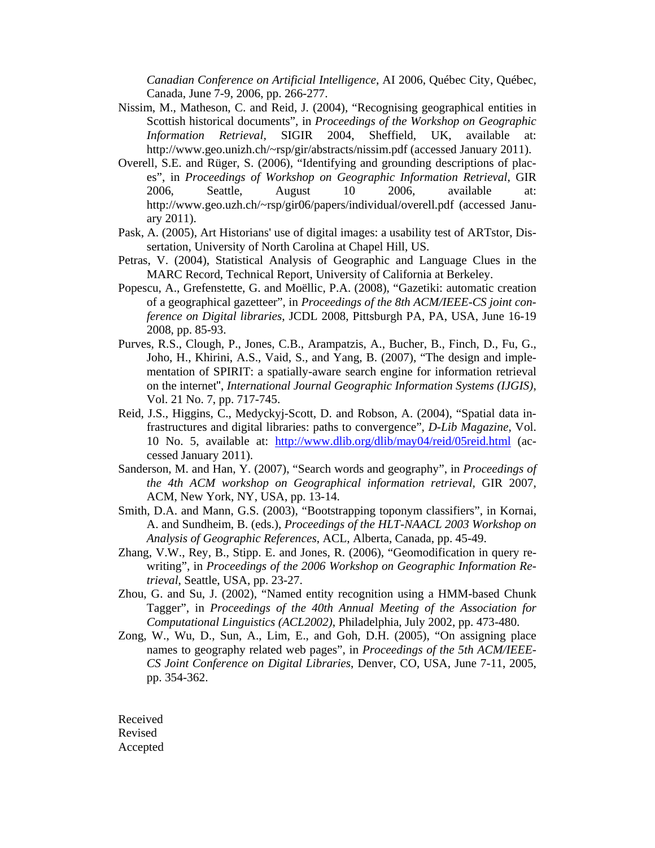*Canadian Conference on Artificial Intelligence*, AI 2006, Québec City, Québec, Canada, June 7-9, 2006, pp. 266-277.

- Nissim, M., Matheson, C. and Reid, J. (2004), "Recognising geographical entities in Scottish historical documents", in *Proceedings of the Workshop on Geographic Information Retrieval,* SIGIR 2004, Sheffield, UK, available at: http://www.geo.unizh.ch/~rsp/gir/abstracts/nissim.pdf (accessed January 2011).
- Overell, S.E. and Rüger, S. (2006), "Identifying and grounding descriptions of places", in *Proceedings of Workshop on Geographic Information Retrieval*, GIR 2006, Seattle, August 10 2006, available at: http://www.geo.uzh.ch/~rsp/gir06/papers/individual/overell.pdf (accessed January 2011).
- Pask, A. (2005), Art Historians' use of digital images: a usability test of ARTstor, Dissertation, University of North Carolina at Chapel Hill, US.
- Petras, V. (2004), Statistical Analysis of Geographic and Language Clues in the MARC Record, Technical Report, University of California at Berkeley.
- Popescu, A., Grefenstette, G. and Moëllic, P.A. (2008), "Gazetiki: automatic creation of a geographical gazetteer", in *Proceedings of the 8th ACM/IEEE-CS joint conference on Digital libraries*, JCDL 2008, Pittsburgh PA, PA, USA, June 16-19 2008, pp. 85-93.
- Purves, R.S., Clough, P., Jones, C.B., Arampatzis, A., Bucher, B., Finch, D., Fu, G., Joho, H., Khirini, A.S., Vaid, S., and Yang, B. (2007), "The design and implementation of SPIRIT: a spatially-aware search engine for information retrieval on the internet", *International Journal Geographic Information Systems (IJGIS)*, Vol. 21 No. 7, pp. 717-745.
- Reid, J.S., Higgins, C., Medyckyj-Scott, D. and Robson, A. (2004), "Spatial data infrastructures and digital libraries: paths to convergence", *D-Lib Magazine*, Vol. 10 No. 5, available at: http://www.dlib.org/dlib/may04/reid/05reid.html (accessed January 2011).
- Sanderson, M. and Han, Y. (2007), "Search words and geography", in *Proceedings of the 4th ACM workshop on Geographical information retrieval,* GIR 2007, ACM, New York, NY, USA, pp. 13-14.
- Smith, D.A. and Mann, G.S. (2003), "Bootstrapping toponym classifiers", in Kornai, A. and Sundheim, B. (eds.), *Proceedings of the HLT-NAACL 2003 Workshop on Analysis of Geographic References*, ACL, Alberta, Canada, pp. 45-49.
- Zhang, V.W., Rey, B., Stipp. E. and Jones, R. (2006), "Geomodification in query rewriting", in *Proceedings of the 2006 Workshop on Geographic Information Retrieval*, Seattle, USA, pp. 23-27.
- Zhou, G. and Su, J. (2002), "Named entity recognition using a HMM-based Chunk Tagger", in *Proceedings of the 40th Annual Meeting of the Association for Computational Linguistics (ACL2002)*, Philadelphia, July 2002, pp. 473-480.
- Zong, W., Wu, D., Sun, A., Lim, E., and Goh, D.H. (2005), "On assigning place names to geography related web pages", in *Proceedings of the 5th ACM/IEEE-CS Joint Conference on Digital Libraries*, Denver, CO, USA, June 7-11, 2005, pp. 354-362.

Received Revised Accepted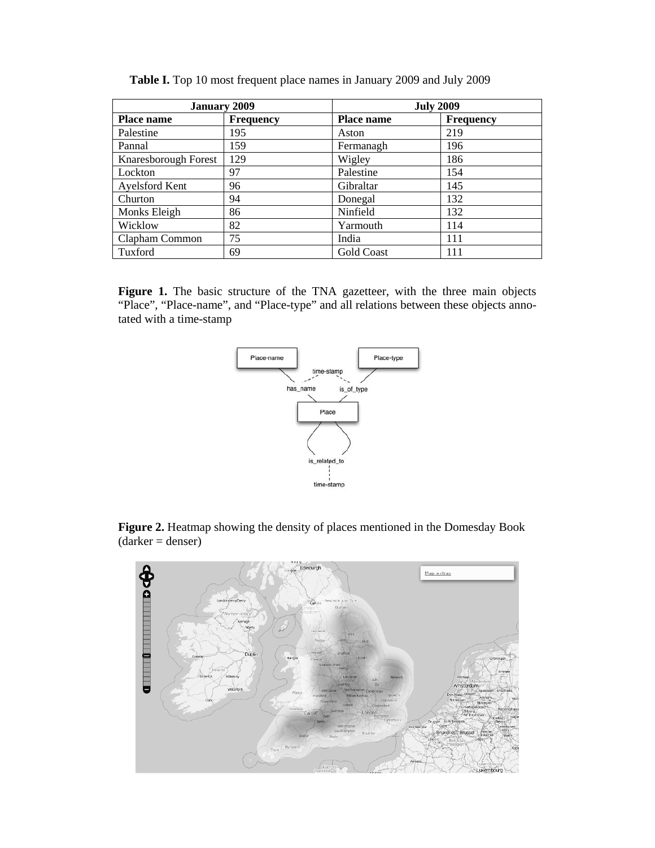| <b>January 2009</b>  |                  | <b>July 2009</b>  |                  |
|----------------------|------------------|-------------------|------------------|
| Place name           | <b>Frequency</b> | <b>Place name</b> | <b>Frequency</b> |
| Palestine            | 195              | Aston             | 219              |
| Pannal               | 159              | Fermanagh         | 196              |
| Knaresborough Forest | 129              | Wigley            | 186              |
| Lockton              | 97               | Palestine         | 154              |
| Ayelsford Kent       | 96               | Gibraltar         | 145              |
| Churton              | 94               | Donegal           | 132              |
| Monks Eleigh         | 86               | Ninfield          | 132              |
| Wicklow              | 82               | Yarmouth          | 114              |
| Clapham Common       | 75               | India             | 111              |
| Tuxford              | 69               | <b>Gold Coast</b> | 111              |

**Table I.** Top 10 most frequent place names in January 2009 and July 2009

Figure 1. The basic structure of the TNA gazetteer, with the three main objects "Place", "Place-name", and "Place-type" and all relations between these objects annotated with a time-stamp



**Figure 2.** Heatmap showing the density of places mentioned in the Domesday Book (darker = denser)

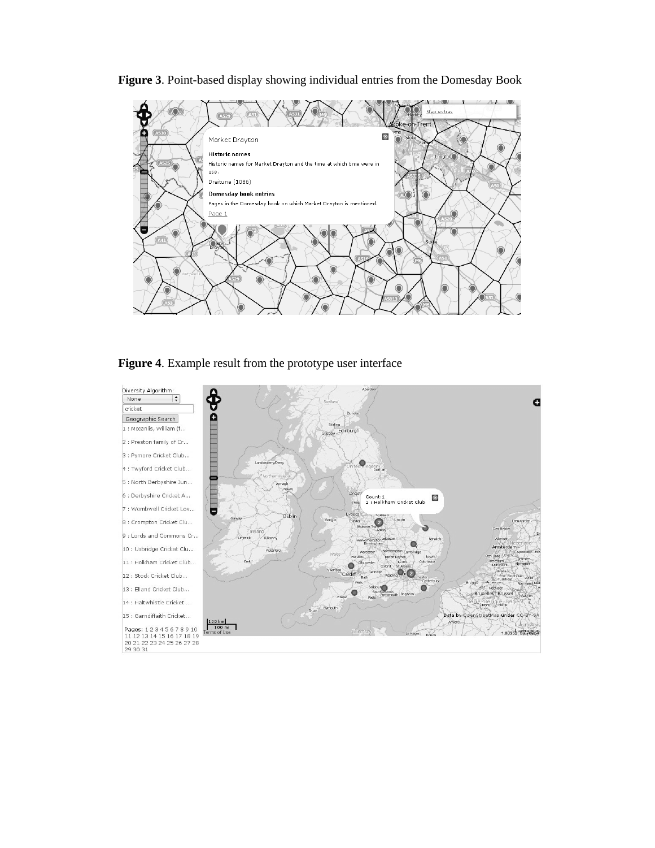**Figure 3**. Point-based display showing individual entries from the Domesday Book



**Figure 4**. Example result from the prototype user interface